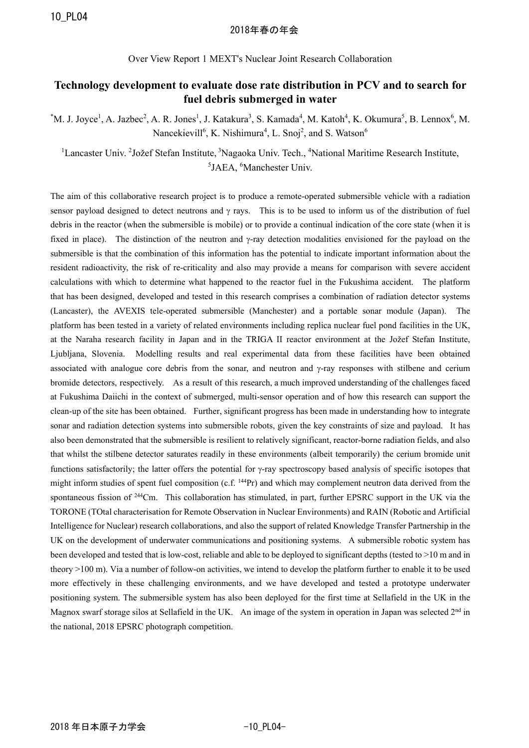## 2018年春の年会

Over View Report 1 MEXT's Nuclear Joint Research Collaboration

## **Technology development to evaluate dose rate distribution in PCV and to search for fuel debris submerged in water**

 $^*$ M. J. Joyce<sup>1</sup>, A. Jazbec<sup>2</sup>, A. R. Jones<sup>1</sup>, J. Katakura<sup>3</sup>, S. Kamada<sup>4</sup>, M. Katoh<sup>4</sup>, K. Okumura<sup>5</sup>, B. Lennox<sup>6</sup>, M. Nancekievill<sup>6</sup>, K. Nishimura<sup>4</sup>, L. Snoj<sup>2</sup>, and S. Watson<sup>6</sup>

<sup>1</sup>Lancaster Univ. <sup>2</sup>Jožef Stefan Institute, <sup>3</sup>Nagaoka Univ. Tech., <sup>4</sup>National Maritime Research Institute, <sup>5</sup>JAEA, <sup>6</sup>Manchester Univ.

The aim of this collaborative research project is to produce a remote-operated submersible vehicle with a radiation sensor payload designed to detect neutrons and  $\gamma$  rays. This is to be used to inform us of the distribution of fuel debris in the reactor (when the submersible is mobile) or to provide a continual indication of the core state (when it is fixed in place). The distinction of the neutron and  $\gamma$ -ray detection modalities envisioned for the payload on the submersible is that the combination of this information has the potential to indicate important information about the resident radioactivity, the risk of re-criticality and also may provide a means for comparison with severe accident calculations with which to determine what happened to the reactor fuel in the Fukushima accident. The platform that has been designed, developed and tested in this research comprises a combination of radiation detector systems (Lancaster), the AVEXIS tele-operated submersible (Manchester) and a portable sonar module (Japan). The platform has been tested in a variety of related environments including replica nuclear fuel pond facilities in the UK, at the Naraha research facility in Japan and in the TRIGA II reactor environment at the Jožef Stefan Institute, Ljubljana, Slovenia. Modelling results and real experimental data from these facilities have been obtained associated with analogue core debris from the sonar, and neutron and  $\gamma$ -ray responses with stilbene and cerium bromide detectors, respectively. As a result of this research, a much improved understanding of the challenges faced at Fukushima Daiichi in the context of submerged, multi-sensor operation and of how this research can support the clean-up of the site has been obtained. Further, significant progress has been made in understanding how to integrate sonar and radiation detection systems into submersible robots, given the key constraints of size and payload. It has also been demonstrated that the submersible is resilient to relatively significant, reactor-borne radiation fields, and also that whilst the stilbene detector saturates readily in these environments (albeit temporarily) the cerium bromide unit functions satisfactorily; the latter offers the potential for  $\gamma$ -ray spectroscopy based analysis of specific isotopes that might inform studies of spent fuel composition (c.f. <sup>144</sup>Pr) and which may complement neutron data derived from the spontaneous fission of 244Cm. This collaboration has stimulated, in part, further EPSRC support in the UK via the TORONE (TOtal characterisation for Remote Observation in Nuclear Environments) and RAIN (Robotic and Artificial Intelligence for Nuclear) research collaborations, and also the support of related Knowledge Transfer Partnership in the UK on the development of underwater communications and positioning systems. A submersible robotic system has been developed and tested that is low-cost, reliable and able to be deployed to significant depths (tested to >10 m and in theory >100 m). Via a number of follow-on activities, we intend to develop the platform further to enable it to be used more effectively in these challenging environments, and we have developed and tested a prototype underwater positioning system. The submersible system has also been deployed for the first time at Sellafield in the UK in the Magnox swarf storage silos at Sellafield in the UK. An image of the system in operation in Japan was selected  $2<sup>nd</sup>$  in the national, 2018 EPSRC photograph competition.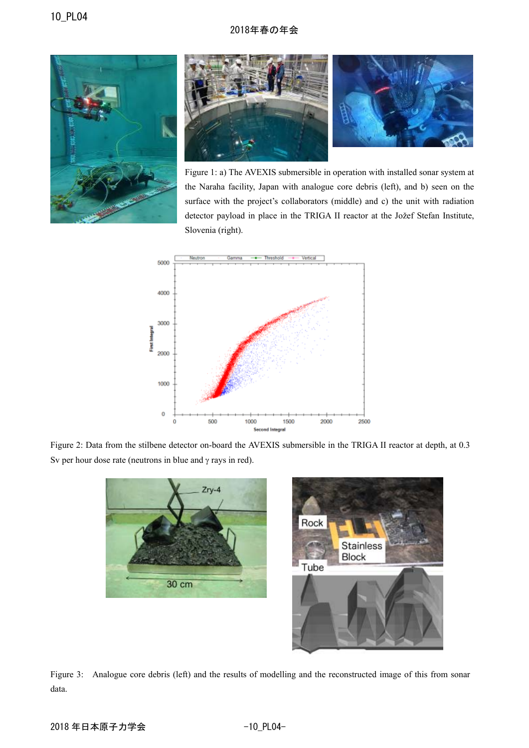## 2018年春の年会





Figure 1: a) The AVEXIS submersible in operation with installed sonar system at the Naraha facility, Japan with analogue core debris (left), and b) seen on the surface with the project's collaborators (middle) and c) the unit with radiation detector payload in place in the TRIGA II reactor at the Jožef Stefan Institute, Slovenia (right).



Figure 2: Data from the stilbene detector on-board the AVEXIS submersible in the TRIGA II reactor at depth, at 0.3 Sv per hour dose rate (neutrons in blue and  $\gamma$  rays in red).



Figure 3: Analogue core debris (left) and the results of modelling and the reconstructed image of this from sonar data.